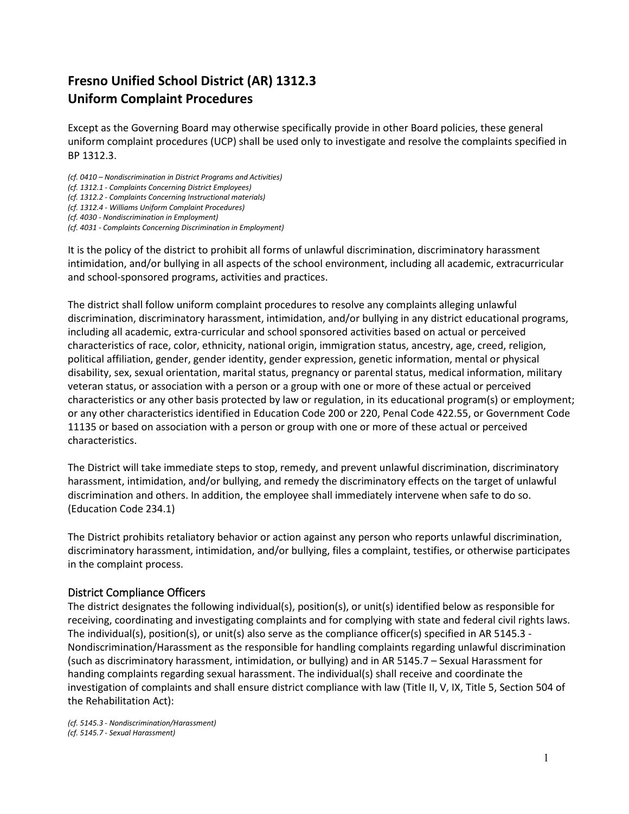# **Fresno Unified School District (AR) 1312.3 Uniform Complaint Procedures**

Except as the Governing Board may otherwise specifically provide in other Board policies, these general uniform complaint procedures (UCP) shall be used only to investigate and resolve the complaints specified in BP 1312.3.

*(cf. 0410 – Nondiscrimination in District Programs and Activities)* 

*(cf. 1312.1 - Complaints Concerning District Employees)*

*(cf. 1312.2 - Complaints Concerning Instructional materials)* 

*(cf. 1312.4 - Williams Uniform Complaint Procedures)*

*(cf. 4030 - Nondiscrimination in Employment)*

*(cf. 4031 - Complaints Concerning Discrimination in Employment)*

It is the policy of the district to prohibit all forms of unlawful discrimination, discriminatory harassment intimidation, and/or bullying in all aspects of the school environment, including all academic, extracurricular and school-sponsored programs, activities and practices.

The district shall follow uniform complaint procedures to resolve any complaints alleging unlawful discrimination, discriminatory harassment, intimidation, and/or bullying in any district educational programs, including all academic, extra-curricular and school sponsored activities based on actual or perceived characteristics of race, color, ethnicity, national origin, immigration status, ancestry, age, creed, religion, political affiliation, gender, gender identity, gender expression, genetic information, mental or physical disability, sex, sexual orientation, marital status, pregnancy or parental status, medical information, military veteran status, or association with a person or a group with one or more of these actual or perceived characteristics or any other basis protected by law or regulation, in its educational program(s) or employment; or any other characteristics identified in Education Code 200 or 220, Penal Code 422.55, or Government Code 11135 or based on association with a person or group with one or more of these actual or perceived characteristics.

The District will take immediate steps to stop, remedy, and prevent unlawful discrimination, discriminatory harassment, intimidation, and/or bullying, and remedy the discriminatory effects on the target of unlawful discrimination and others. In addition, the employee shall immediately intervene when safe to do so. (Education Code 234.1)

The District prohibits retaliatory behavior or action against any person who reports unlawful discrimination, discriminatory harassment, intimidation, and/or bullying, files a complaint, testifies, or otherwise participates in the complaint process.

#### District Compliance Officers

The district designates the following individual(s), position(s), or unit(s) identified below as responsible for receiving, coordinating and investigating complaints and for complying with state and federal civil rights laws. The individual(s), position(s), or unit(s) also serve as the compliance officer(s) specified in AR 5145.3 - Nondiscrimination/Harassment as the responsible for handling complaints regarding unlawful discrimination (such as discriminatory harassment, intimidation, or bullying) and in AR 5145.7 – Sexual Harassment for handing complaints regarding sexual harassment. The individual(s) shall receive and coordinate the investigation of complaints and shall ensure district compliance with law (Title II, V, IX, Title 5, Section 504 of the Rehabilitation Act):

*(cf. 5145.3 - Nondiscrimination/Harassment) (cf. 5145.7 - Sexual Harassment)*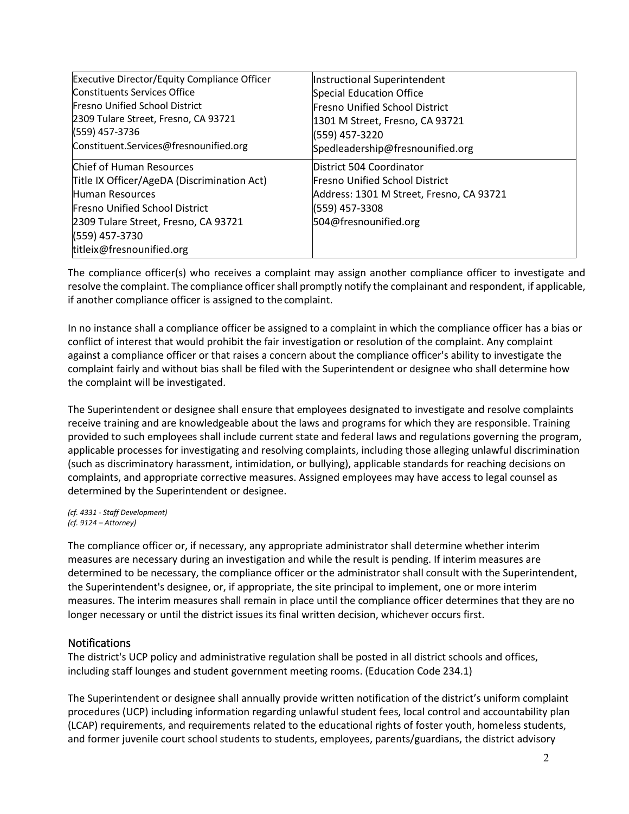| Executive Director/Equity Compliance Officer                                                                                                                                                                               | Instructional Superintendent                                                                                                                             |
|----------------------------------------------------------------------------------------------------------------------------------------------------------------------------------------------------------------------------|----------------------------------------------------------------------------------------------------------------------------------------------------------|
| Constituents Services Office                                                                                                                                                                                               | Special Education Office                                                                                                                                 |
| <b>Fresno Unified School District</b>                                                                                                                                                                                      | <b>Fresno Unified School District</b>                                                                                                                    |
| 2309 Tulare Street, Fresno, CA 93721                                                                                                                                                                                       | 1301 M Street, Fresno, CA 93721                                                                                                                          |
| (559) 457-3736                                                                                                                                                                                                             | (559) 457-3220                                                                                                                                           |
| Constituent.Services@fresnounified.org                                                                                                                                                                                     | Spedleadership@fresnounified.org                                                                                                                         |
| Chief of Human Resources<br>Title IX Officer/AgeDA (Discrimination Act)<br>Human Resources<br><b>Fresno Unified School District</b><br>2309 Tulare Street, Fresno, CA 93721<br>(559) 457-3730<br>titleix@fresnounified.org | District 504 Coordinator<br><b>Fresno Unified School District</b><br>Address: 1301 M Street, Fresno, CA 93721<br>(559) 457-3308<br>504@fresnounified.org |

The compliance officer(s) who receives a complaint may assign another compliance officer to investigate and resolve the complaint. The compliance officer shall promptly notify the complainant and respondent, if applicable, if another compliance officer is assigned to the complaint.

In no instance shall a compliance officer be assigned to a complaint in which the compliance officer has a bias or conflict of interest that would prohibit the fair investigation or resolution of the complaint. Any complaint against a compliance officer or that raises a concern about the compliance officer's ability to investigate the complaint fairly and without bias shall be filed with the Superintendent or designee who shall determine how the complaint will be investigated.

The Superintendent or designee shall ensure that employees designated to investigate and resolve complaints receive training and are knowledgeable about the laws and programs for which they are responsible. Training provided to such employees shall include current state and federal laws and regulations governing the program, applicable processes for investigating and resolving complaints, including those alleging unlawful discrimination (such as discriminatory harassment, intimidation, or bullying), applicable standards for reaching decisions on complaints, and appropriate corrective measures. Assigned employees may have access to legal counsel as determined by the Superintendent or designee.

*(cf. 4331 - Staff Development) (cf. 9124 – Attorney)*

The compliance officer or, if necessary, any appropriate administrator shall determine whether interim measures are necessary during an investigation and while the result is pending. If interim measures are determined to be necessary, the compliance officer or the administrator shall consult with the Superintendent, the Superintendent's designee, or, if appropriate, the site principal to implement, one or more interim measures. The interim measures shall remain in place until the compliance officer determines that they are no longer necessary or until the district issues its final written decision, whichever occurs first.

#### Notifications

The district's UCP policy and administrative regulation shall be posted in all district schools and offices, including staff lounges and student government meeting rooms. (Education Code 234.1)

The Superintendent or designee shall annually provide written notification of the district's uniform complaint procedures (UCP) including information regarding unlawful student fees, local control and accountability plan (LCAP) requirements, and requirements related to the educational rights of foster youth, homeless students, and former juvenile court school students to students, employees, parents/guardians, the district advisory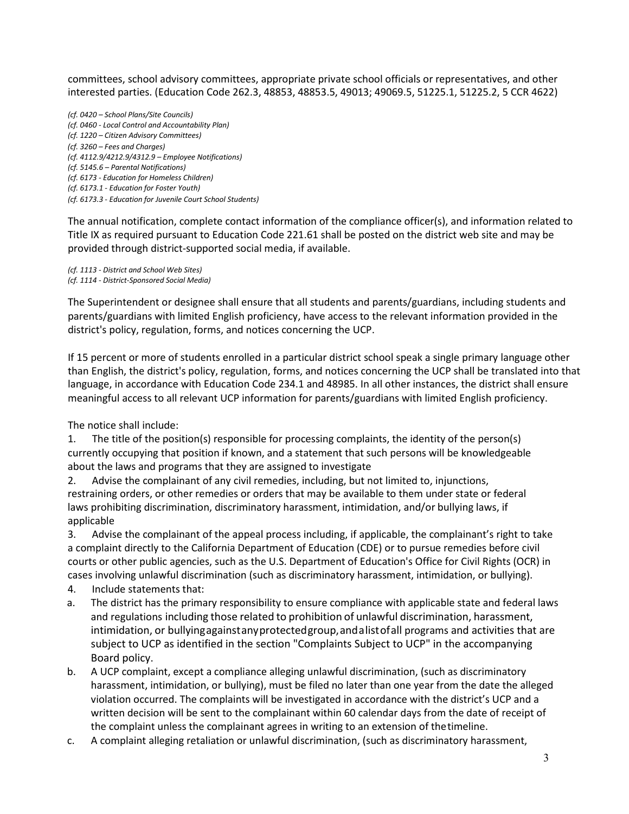committees, school advisory committees, appropriate private school officials or representatives, and other interested parties. (Education Code 262.3, 48853, 48853.5, 49013; 49069.5, 51225.1, 51225.2, 5 CCR 4622)

*(cf. 0420 – School Plans/Site Councils) (cf. 0460 - Local Control and Accountability Plan) (cf. 1220 – Citizen Advisory Committees) (cf. 3260 – Fees and Charges) (cf. 4112.9/4212.9/4312.9 – Employee Notifications) (cf. 5145.6 – Parental Notifications) (cf. 6173 - Education for Homeless Children) (cf. 6173.1 - Education for Foster Youth) (cf. 6173.3 - Education for Juvenile Court School Students)*

The annual notification, complete contact information of the compliance officer(s), and information related to Title IX as required pursuant to Education Code 221.61 shall be posted on the district web site and may be provided through district-supported social media, if available.

*(cf. 1113 - District and School Web Sites) (cf. 1114 - District-Sponsored Social Media)*

The Superintendent or designee shall ensure that all students and parents/guardians, including students and parents/guardians with limited English proficiency, have access to the relevant information provided in the district's policy, regulation, forms, and notices concerning the UCP.

If 15 percent or more of students enrolled in a particular district school speak a single primary language other than English, the district's policy, regulation, forms, and notices concerning the UCP shall be translated into that language, in accordance with Education Code 234.1 and 48985. In all other instances, the district shall ensure meaningful access to all relevant UCP information for parents/guardians with limited English proficiency.

The notice shall include:

1. The title of the position(s) responsible for processing complaints, the identity of the person(s) currently occupying that position if known, and a statement that such persons will be knowledgeable about the laws and programs that they are assigned to investigate

2. Advise the complainant of any civil remedies, including, but not limited to, injunctions, restraining orders, or other remedies or orders that may be available to them under state or federal laws prohibiting discrimination, discriminatory harassment, intimidation, and/or bullying laws, if applicable

3. Advise the complainant of the appeal process including, if applicable, the complainant's right to take a complaint directly to the California Department of Education (CDE) or to pursue remedies before civil courts or other public agencies, such as the U.S. Department of Education's Office for Civil Rights (OCR) in cases involving unlawful discrimination (such as discriminatory harassment, intimidation, or bullying).

- 4. Include statements that:
- a. The district has the primary responsibility to ensure compliance with applicable state and federal laws and regulations including those related to prohibition of unlawful discrimination, harassment, intimidation, or bullyingagainstanyprotectedgroup,andalistofall programs and activities that are subject to UCP as identified in the section "Complaints Subject to UCP" in the accompanying Board policy.
- b. A UCP complaint, except a compliance alleging unlawful discrimination, (such as discriminatory harassment, intimidation, or bullying), must be filed no later than one year from the date the alleged violation occurred. The complaints will be investigated in accordance with the district's UCP and a written decision will be sent to the complainant within 60 calendar days from the date of receipt of the complaint unless the complainant agrees in writing to an extension of thetimeline.
- c. A complaint alleging retaliation or unlawful discrimination, (such as discriminatory harassment,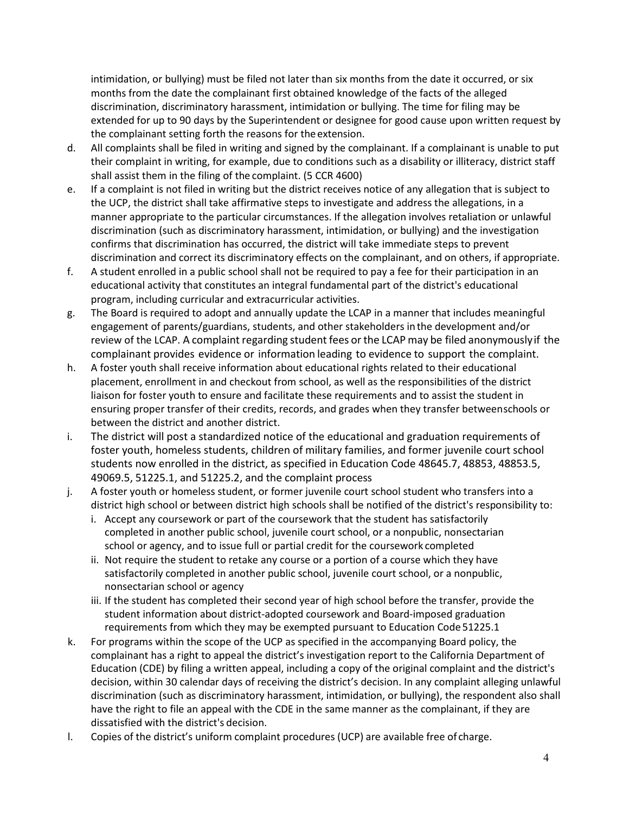intimidation, or bullying) must be filed not later than six months from the date it occurred, or six months from the date the complainant first obtained knowledge of the facts of the alleged discrimination, discriminatory harassment, intimidation or bullying. The time for filing may be extended for up to 90 days by the Superintendent or designee for good cause upon written request by the complainant setting forth the reasons for the extension.

- d. All complaints shall be filed in writing and signed by the complainant. If a complainant is unable to put their complaint in writing, for example, due to conditions such as a disability or illiteracy, district staff shall assist them in the filing of the complaint. (5 CCR 4600)
- e. If a complaint is not filed in writing but the district receives notice of any allegation that is subject to the UCP, the district shall take affirmative steps to investigate and address the allegations, in a manner appropriate to the particular circumstances. If the allegation involves retaliation or unlawful discrimination (such as discriminatory harassment, intimidation, or bullying) and the investigation confirms that discrimination has occurred, the district will take immediate steps to prevent discrimination and correct its discriminatory effects on the complainant, and on others, if appropriate.
- f. A student enrolled in a public school shall not be required to pay a fee for their participation in an educational activity that constitutes an integral fundamental part of the district's educational program, including curricular and extracurricular activities.
- g. The Board is required to adopt and annually update the LCAP in a manner that includes meaningful engagement of parents/guardians, students, and other stakeholders inthe development and/or review of the LCAP. A complaint regarding student fees or the LCAP may be filed anonymouslyif the complainant provides evidence or information leading to evidence to support the complaint.
- h. A foster youth shall receive information about educational rights related to their educational placement, enrollment in and checkout from school, as well as the responsibilities of the district liaison for foster youth to ensure and facilitate these requirements and to assist the student in ensuring proper transfer of their credits, records, and grades when they transfer betweenschools or between the district and another district.
- i. The district will post a standardized notice of the educational and graduation requirements of foster youth, homeless students, children of military families, and former juvenile court school students now enrolled in the district, as specified in Education Code 48645.7, 48853, 48853.5, 49069.5, 51225.1, and 51225.2, and the complaint process
- j. A foster youth or homeless student, or former juvenile court school student who transfers into a district high school or between district high schools shall be notified of the district's responsibility to:
	- i. Accept any coursework or part of the coursework that the student has satisfactorily completed in another public school, juvenile court school, or a nonpublic, nonsectarian school or agency, and to issue full or partial credit for the coursework completed
	- ii. Not require the student to retake any course or a portion of a course which they have satisfactorily completed in another public school, juvenile court school, or a nonpublic, nonsectarian school or agency
	- iii. If the student has completed their second year of high school before the transfer, provide the student information about district-adopted coursework and Board-imposed graduation requirements from which they may be exempted pursuant to Education Code 51225.1
- k. For programs within the scope of the UCP as specified in the accompanying Board policy, the complainant has a right to appeal the district's investigation report to the California Department of Education (CDE) by filing a written appeal, including a copy of the original complaint and the district's decision, within 30 calendar days of receiving the district's decision. In any complaint alleging unlawful discrimination (such as discriminatory harassment, intimidation, or bullying), the respondent also shall have the right to file an appeal with the CDE in the same manner as the complainant, if they are dissatisfied with the district's decision.
- l. Copies of the district's uniform complaint procedures (UCP) are available free of charge.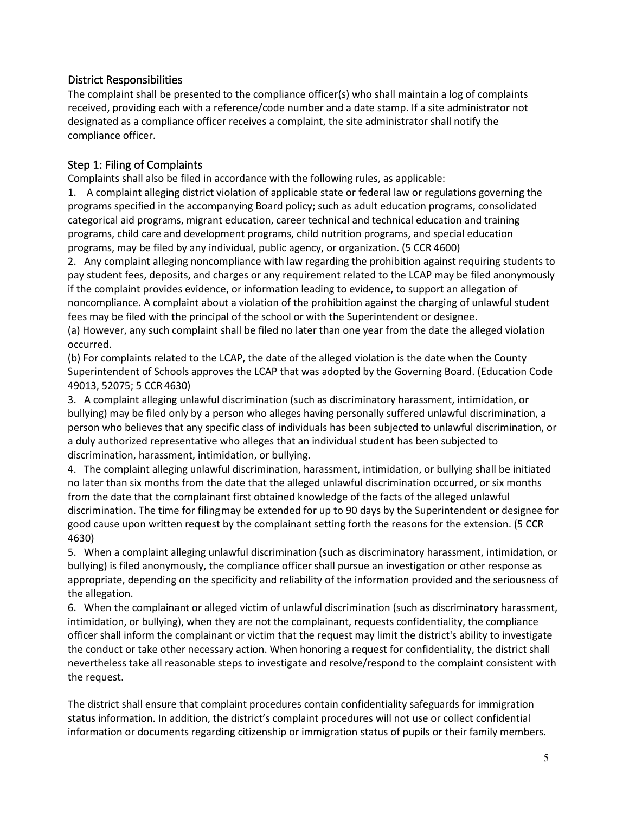# District Responsibilities

The complaint shall be presented to the compliance officer(s) who shall maintain a log of complaints received, providing each with a reference/code number and a date stamp. If a site administrator not designated as a compliance officer receives a complaint, the site administrator shall notify the compliance officer.

## Step 1: Filing of Complaints

Complaints shall also be filed in accordance with the following rules, as applicable:

1. A complaint alleging district violation of applicable state or federal law or regulations governing the programs specified in the accompanying Board policy; such as adult education programs, consolidated categorical aid programs, migrant education, career technical and technical education and training programs, child care and development programs, child nutrition programs, and special education programs, may be filed by any individual, public agency, or organization. (5 CCR 4600)

2. Any complaint alleging noncompliance with law regarding the prohibition against requiring students to pay student fees, deposits, and charges or any requirement related to the LCAP may be filed anonymously if the complaint provides evidence, or information leading to evidence, to support an allegation of noncompliance. A complaint about a violation of the prohibition against the charging of unlawful student fees may be filed with the principal of the school or with the Superintendent or designee.

(a) However, any such complaint shall be filed no later than one year from the date the alleged violation occurred.

(b) For complaints related to the LCAP, the date of the alleged violation is the date when the County Superintendent of Schools approves the LCAP that was adopted by the Governing Board. (Education Code 49013, 52075; 5 CCR 4630)

3. A complaint alleging unlawful discrimination (such as discriminatory harassment, intimidation, or bullying) may be filed only by a person who alleges having personally suffered unlawful discrimination, a person who believes that any specific class of individuals has been subjected to unlawful discrimination, or a duly authorized representative who alleges that an individual student has been subjected to discrimination, harassment, intimidation, or bullying.

4. The complaint alleging unlawful discrimination, harassment, intimidation, or bullying shall be initiated no later than six months from the date that the alleged unlawful discrimination occurred, or six months from the date that the complainant first obtained knowledge of the facts of the alleged unlawful discrimination. The time for filingmay be extended for up to 90 days by the Superintendent or designee for good cause upon written request by the complainant setting forth the reasons for the extension. (5 CCR 4630)

5. When a complaint alleging unlawful discrimination (such as discriminatory harassment, intimidation, or bullying) is filed anonymously, the compliance officer shall pursue an investigation or other response as appropriate, depending on the specificity and reliability of the information provided and the seriousness of the allegation.

6. When the complainant or alleged victim of unlawful discrimination (such as discriminatory harassment, intimidation, or bullying), when they are not the complainant, requests confidentiality, the compliance officer shall inform the complainant or victim that the request may limit the district's ability to investigate the conduct or take other necessary action. When honoring a request for confidentiality, the district shall nevertheless take all reasonable steps to investigate and resolve/respond to the complaint consistent with the request.

The district shall ensure that complaint procedures contain confidentiality safeguards for immigration status information. In addition, the district's complaint procedures will not use or collect confidential information or documents regarding citizenship or immigration status of pupils or their family members.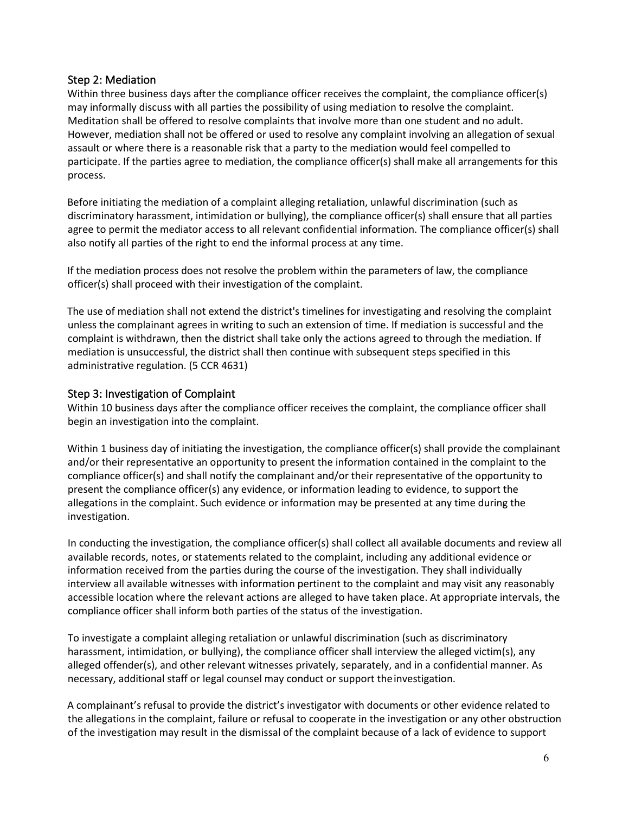#### Step 2: Mediation

Within three business days after the compliance officer receives the complaint, the compliance officer(s) may informally discuss with all parties the possibility of using mediation to resolve the complaint. Meditation shall be offered to resolve complaints that involve more than one student and no adult. However, mediation shall not be offered or used to resolve any complaint involving an allegation of sexual assault or where there is a reasonable risk that a party to the mediation would feel compelled to participate. If the parties agree to mediation, the compliance officer(s) shall make all arrangements for this process.

Before initiating the mediation of a complaint alleging retaliation, unlawful discrimination (such as discriminatory harassment, intimidation or bullying), the compliance officer(s) shall ensure that all parties agree to permit the mediator access to all relevant confidential information. The compliance officer(s) shall also notify all parties of the right to end the informal process at any time.

If the mediation process does not resolve the problem within the parameters of law, the compliance officer(s) shall proceed with their investigation of the complaint.

The use of mediation shall not extend the district's timelines for investigating and resolving the complaint unless the complainant agrees in writing to such an extension of time. If mediation is successful and the complaint is withdrawn, then the district shall take only the actions agreed to through the mediation. If mediation is unsuccessful, the district shall then continue with subsequent steps specified in this administrative regulation. (5 CCR 4631)

#### Step 3: Investigation of Complaint

Within 10 business days after the compliance officer receives the complaint, the compliance officer shall begin an investigation into the complaint.

Within 1 business day of initiating the investigation, the compliance officer(s) shall provide the complainant and/or their representative an opportunity to present the information contained in the complaint to the compliance officer(s) and shall notify the complainant and/or their representative of the opportunity to present the compliance officer(s) any evidence, or information leading to evidence, to support the allegations in the complaint. Such evidence or information may be presented at any time during the investigation.

In conducting the investigation, the compliance officer(s) shall collect all available documents and review all available records, notes, or statements related to the complaint, including any additional evidence or information received from the parties during the course of the investigation. They shall individually interview all available witnesses with information pertinent to the complaint and may visit any reasonably accessible location where the relevant actions are alleged to have taken place. At appropriate intervals, the compliance officer shall inform both parties of the status of the investigation.

To investigate a complaint alleging retaliation or unlawful discrimination (such as discriminatory harassment, intimidation, or bullying), the compliance officer shall interview the alleged victim(s), any alleged offender(s), and other relevant witnesses privately, separately, and in a confidential manner. As necessary, additional staff or legal counsel may conduct or support theinvestigation.

A complainant's refusal to provide the district's investigator with documents or other evidence related to the allegations in the complaint, failure or refusal to cooperate in the investigation or any other obstruction of the investigation may result in the dismissal of the complaint because of a lack of evidence to support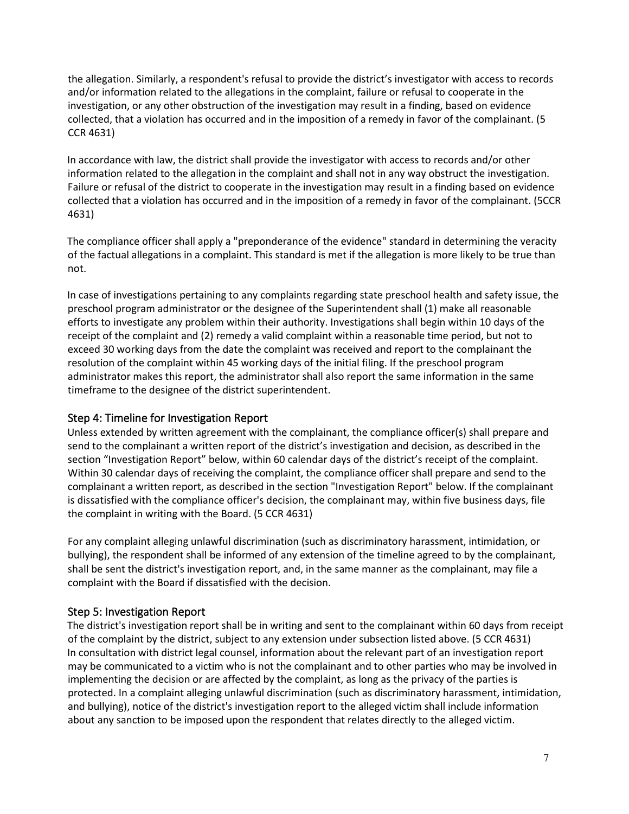the allegation. Similarly, a respondent's refusal to provide the district's investigator with access to records and/or information related to the allegations in the complaint, failure or refusal to cooperate in the investigation, or any other obstruction of the investigation may result in a finding, based on evidence collected, that a violation has occurred and in the imposition of a remedy in favor of the complainant. (5 CCR 4631)

In accordance with law, the district shall provide the investigator with access to records and/or other information related to the allegation in the complaint and shall not in any way obstruct the investigation. Failure or refusal of the district to cooperate in the investigation may result in a finding based on evidence collected that a violation has occurred and in the imposition of a remedy in favor of the complainant. (5CCR 4631)

The compliance officer shall apply a "preponderance of the evidence" standard in determining the veracity of the factual allegations in a complaint. This standard is met if the allegation is more likely to be true than not.

In case of investigations pertaining to any complaints regarding state preschool health and safety issue, the preschool program administrator or the designee of the Superintendent shall (1) make all reasonable efforts to investigate any problem within their authority. Investigations shall begin within 10 days of the receipt of the complaint and (2) remedy a valid complaint within a reasonable time period, but not to exceed 30 working days from the date the complaint was received and report to the complainant the resolution of the complaint within 45 working days of the initial filing. If the preschool program administrator makes this report, the administrator shall also report the same information in the same timeframe to the designee of the district superintendent.

#### Step 4: Timeline for Investigation Report

Unless extended by written agreement with the complainant, the compliance officer(s) shall prepare and send to the complainant a written report of the district's investigation and decision, as described in the section "Investigation Report" below, within 60 calendar days of the district's receipt of the complaint. Within 30 calendar days of receiving the complaint, the compliance officer shall prepare and send to the complainant a written report, as described in the section "Investigation Report" below. If the complainant is dissatisfied with the compliance officer's decision, the complainant may, within five business days, file the complaint in writing with the Board. (5 CCR 4631)

For any complaint alleging unlawful discrimination (such as discriminatory harassment, intimidation, or bullying), the respondent shall be informed of any extension of the timeline agreed to by the complainant, shall be sent the district's investigation report, and, in the same manner as the complainant, may file a complaint with the Board if dissatisfied with the decision.

#### Step 5: Investigation Report

The district's investigation report shall be in writing and sent to the complainant within 60 days from receipt of the complaint by the district, subject to any extension under subsection listed above. (5 CCR 4631) In consultation with district legal counsel, information about the relevant part of an investigation report may be communicated to a victim who is not the complainant and to other parties who may be involved in implementing the decision or are affected by the complaint, as long as the privacy of the parties is protected. In a complaint alleging unlawful discrimination (such as discriminatory harassment, intimidation, and bullying), notice of the district's investigation report to the alleged victim shall include information about any sanction to be imposed upon the respondent that relates directly to the alleged victim.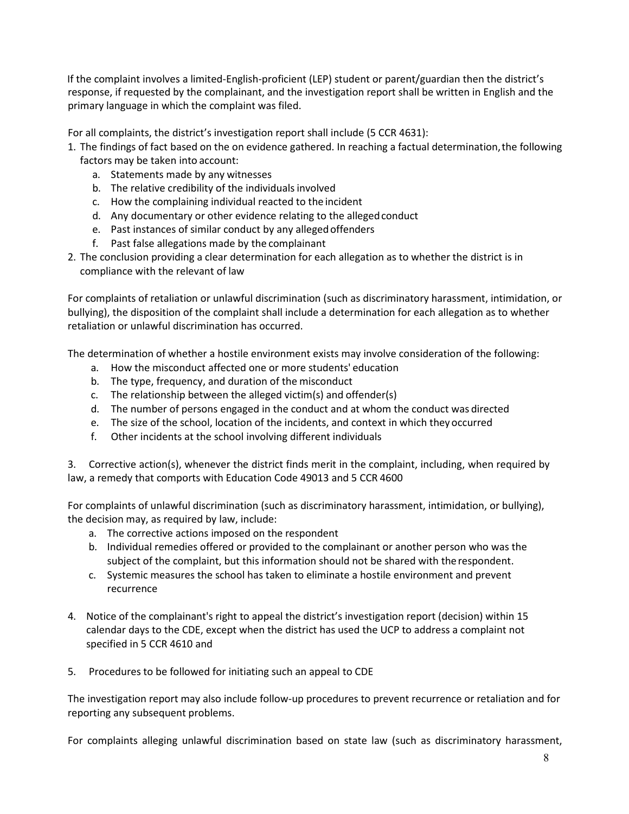If the complaint involves a limited-English-proficient (LEP) student or parent/guardian then the district's response, if requested by the complainant, and the investigation report shall be written in English and the primary language in which the complaint was filed.

For all complaints, the district's investigation report shall include (5 CCR 4631):

- 1. The findings of fact based on the on evidence gathered. In reaching a factual determination,the following factors may be taken into account:
	- a. Statements made by any witnesses
	- b. The relative credibility of the individuals involved
	- c. How the complaining individual reacted to the incident
	- d. Any documentary or other evidence relating to the allegedconduct
	- e. Past instances of similar conduct by any allegedoffenders
	- f. Past false allegations made by the complainant
- 2. The conclusion providing a clear determination for each allegation as to whether the district is in compliance with the relevant of law

For complaints of retaliation or unlawful discrimination (such as discriminatory harassment, intimidation, or bullying), the disposition of the complaint shall include a determination for each allegation as to whether retaliation or unlawful discrimination has occurred.

The determination of whether a hostile environment exists may involve consideration of the following:

- a. How the misconduct affected one or more students' education
- b. The type, frequency, and duration of the misconduct
- c. The relationship between the alleged victim(s) and offender(s)
- d. The number of persons engaged in the conduct and at whom the conduct was directed
- e. The size of the school, location of the incidents, and context in which they occurred
- f. Other incidents at the school involving different individuals

3. Corrective action(s), whenever the district finds merit in the complaint, including, when required by law, a remedy that comports with Education Code 49013 and 5 CCR 4600

For complaints of unlawful discrimination (such as discriminatory harassment, intimidation, or bullying), the decision may, as required by law, include:

- a. The corrective actions imposed on the respondent
- b. Individual remedies offered or provided to the complainant or another person who was the subject of the complaint, but this information should not be shared with therespondent.
- c. Systemic measures the school has taken to eliminate a hostile environment and prevent recurrence
- 4. Notice of the complainant's right to appeal the district's investigation report (decision) within 15 calendar days to the CDE, except when the district has used the UCP to address a complaint not specified in 5 CCR 4610 and
- 5. Procedures to be followed for initiating such an appeal to CDE

The investigation report may also include follow-up procedures to prevent recurrence or retaliation and for reporting any subsequent problems.

For complaints alleging unlawful discrimination based on state law (such as discriminatory harassment,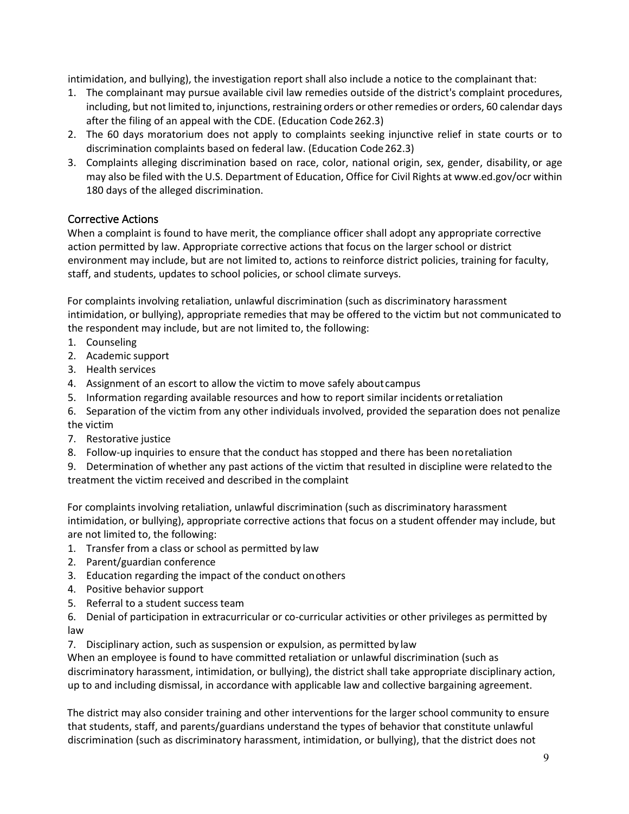intimidation, and bullying), the investigation report shall also include a notice to the complainant that:

- 1. The complainant may pursue available civil law remedies outside of the district's complaint procedures, including, but not limited to, injunctions, restraining orders or other remedies or orders, 60 calendar days after the filing of an appeal with the CDE. (Education Code262.3)
- 2. The 60 days moratorium does not apply to complaints seeking injunctive relief in state courts or to discrimination complaints based on federal law. (Education Code262.3)
- 3. Complaints alleging discrimination based on race, color, national origin, sex, gender, disability, or age may also be filed with the U.S. Department of Education, Office for Civil Rights a[t www.ed.gov/ocr w](http://www.ed.gov/ocr)ithin 180 days of the alleged discrimination.

# Corrective Actions

When a complaint is found to have merit, the compliance officer shall adopt any appropriate corrective action permitted by law. Appropriate corrective actions that focus on the larger school or district environment may include, but are not limited to, actions to reinforce district policies, training for faculty, staff, and students, updates to school policies, or school climate surveys.

For complaints involving retaliation, unlawful discrimination (such as discriminatory harassment intimidation, or bullying), appropriate remedies that may be offered to the victim but not communicated to the respondent may include, but are not limited to, the following:

- 1. Counseling
- 2. Academic support
- 3. Health services
- 4. Assignment of an escort to allow the victim to move safely aboutcampus
- 5. Information regarding available resources and how to report similar incidents orretaliation
- 6. Separation of the victim from any other individuals involved, provided the separation does not penalize the victim
- 7. Restorative justice
- 8. Follow-up inquiries to ensure that the conduct has stopped and there has been noretaliation
- 9. Determination of whether any past actions of the victim that resulted in discipline were relatedto the treatment the victim received and described in the complaint

For complaints involving retaliation, unlawful discrimination (such as discriminatory harassment intimidation, or bullying), appropriate corrective actions that focus on a student offender may include, but are not limited to, the following:

- 1. Transfer from a class or school as permitted by law
- 2. Parent/guardian conference
- 3. Education regarding the impact of the conduct onothers
- 4. Positive behavior support
- 5. Referral to a student success team
- 6. Denial of participation in extracurricular or co-curricular activities or other privileges as permitted by law
- 7. Disciplinary action, such as suspension or expulsion, as permitted by law

When an employee is found to have committed retaliation or unlawful discrimination (such as discriminatory harassment, intimidation, or bullying), the district shall take appropriate disciplinary action, up to and including dismissal, in accordance with applicable law and collective bargaining agreement.

The district may also consider training and other interventions for the larger school community to ensure that students, staff, and parents/guardians understand the types of behavior that constitute unlawful discrimination (such as discriminatory harassment, intimidation, or bullying), that the district does not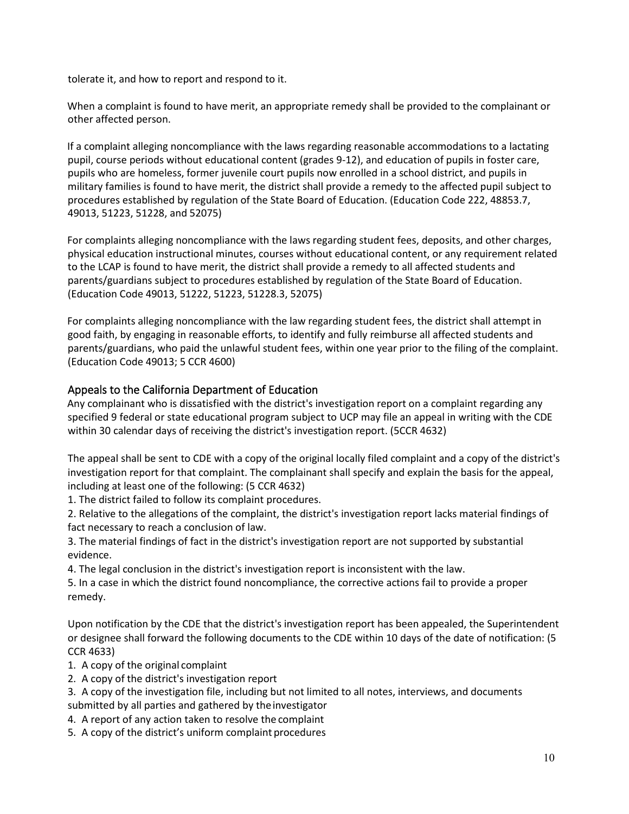tolerate it, and how to report and respond to it.

When a complaint is found to have merit, an appropriate remedy shall be provided to the complainant or other affected person.

If a complaint alleging noncompliance with the laws regarding reasonable accommodations to a lactating pupil, course periods without educational content (grades 9-12), and education of pupils in foster care, pupils who are homeless, former juvenile court pupils now enrolled in a school district, and pupils in military families is found to have merit, the district shall provide a remedy to the affected pupil subject to procedures established by regulation of the State Board of Education. (Education Code 222, 48853.7, 49013, 51223, 51228, and 52075)

For complaints alleging noncompliance with the laws regarding student fees, deposits, and other charges, physical education instructional minutes, courses without educational content, or any requirement related to the LCAP is found to have merit, the district shall provide a remedy to all affected students and parents/guardians subject to procedures established by regulation of the State Board of Education. (Education Code 49013, 51222, 51223, 51228.3, 52075)

For complaints alleging noncompliance with the law regarding student fees, the district shall attempt in good faith, by engaging in reasonable efforts, to identify and fully reimburse all affected students and parents/guardians, who paid the unlawful student fees, within one year prior to the filing of the complaint. (Education Code 49013; 5 CCR 4600)

## Appeals to the California Department of Education

Any complainant who is dissatisfied with the district's investigation report on a complaint regarding any specified 9 federal or state educational program subject to UCP may file an appeal in writing with the CDE within 30 calendar days of receiving the district's investigation report. (5CCR 4632)

The appeal shall be sent to CDE with a copy of the original locally filed complaint and a copy of the district's investigation report for that complaint. The complainant shall specify and explain the basis for the appeal, including at least one of the following: (5 CCR 4632)

1. The district failed to follow its complaint procedures.

2. Relative to the allegations of the complaint, the district's investigation report lacks material findings of fact necessary to reach a conclusion of law.

3. The material findings of fact in the district's investigation report are not supported by substantial evidence.

4. The legal conclusion in the district's investigation report is inconsistent with the law.

5. In a case in which the district found noncompliance, the corrective actions fail to provide a proper remedy.

Upon notification by the CDE that the district's investigation report has been appealed, the Superintendent or designee shall forward the following documents to the CDE within 10 days of the date of notification: (5 CCR 4633)

- 1. A copy of the original complaint
- 2. A copy of the district's investigation report

3. A copy of the investigation file, including but not limited to all notes, interviews, and documents submitted by all parties and gathered by theinvestigator

- 4. A report of any action taken to resolve the complaint
- 5. A copy of the district's uniform complaint procedures